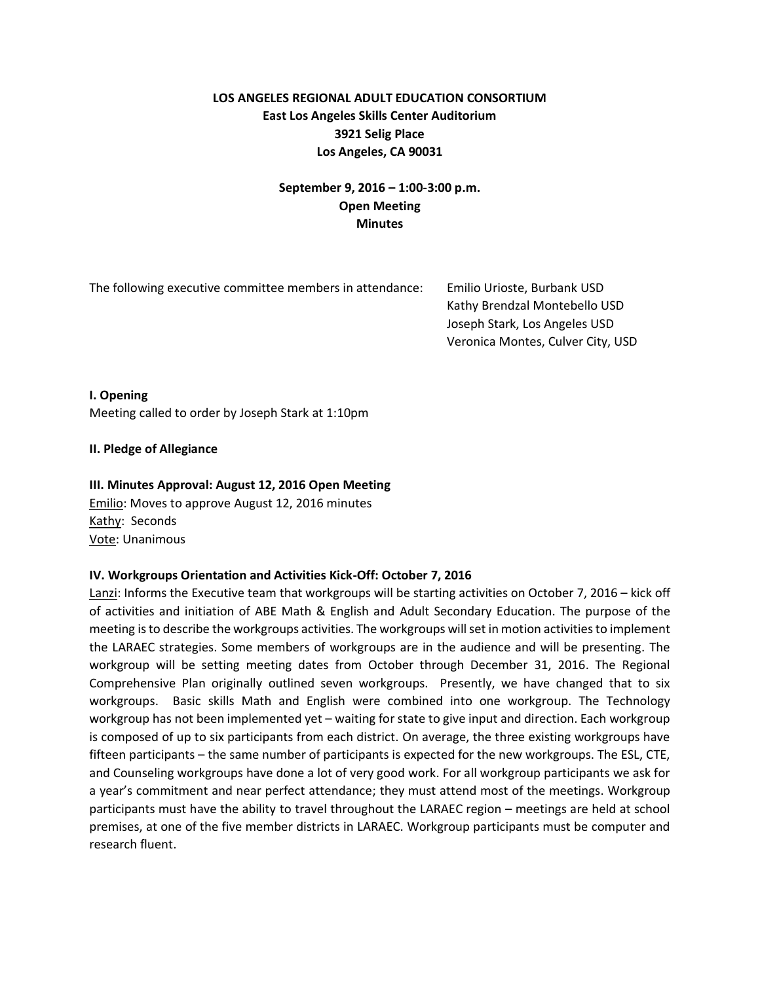# **LOS ANGELES REGIONAL ADULT EDUCATION CONSORTIUM East Los Angeles Skills Center Auditorium 3921 Selig Place Los Angeles, CA 90031**

# **September 9, 2016 – 1:00-3:00 p.m. Open Meeting Minutes**

The following executive committee members in attendance: Emilio Urioste, Burbank USD

 Kathy Brendzal Montebello USD Joseph Stark, Los Angeles USD Veronica Montes, Culver City, USD

**I. Opening** Meeting called to order by Joseph Stark at 1:10pm

## **II. Pledge of Allegiance**

## **III. Minutes Approval: August 12, 2016 Open Meeting**

Emilio: Moves to approve August 12, 2016 minutes Kathy: Seconds Vote: Unanimous

### **IV. Workgroups Orientation and Activities Kick-Off: October 7, 2016**

Lanzi: Informs the Executive team that workgroups will be starting activities on October 7, 2016 – kick off of activities and initiation of ABE Math & English and Adult Secondary Education. The purpose of the meeting is to describe the workgroups activities. The workgroups will set in motion activities to implement the LARAEC strategies. Some members of workgroups are in the audience and will be presenting. The workgroup will be setting meeting dates from October through December 31, 2016. The Regional Comprehensive Plan originally outlined seven workgroups. Presently, we have changed that to six workgroups. Basic skills Math and English were combined into one workgroup. The Technology workgroup has not been implemented yet – waiting for state to give input and direction. Each workgroup is composed of up to six participants from each district. On average, the three existing workgroups have fifteen participants – the same number of participants is expected for the new workgroups. The ESL, CTE, and Counseling workgroups have done a lot of very good work. For all workgroup participants we ask for a year's commitment and near perfect attendance; they must attend most of the meetings. Workgroup participants must have the ability to travel throughout the LARAEC region – meetings are held at school premises, at one of the five member districts in LARAEC. Workgroup participants must be computer and research fluent.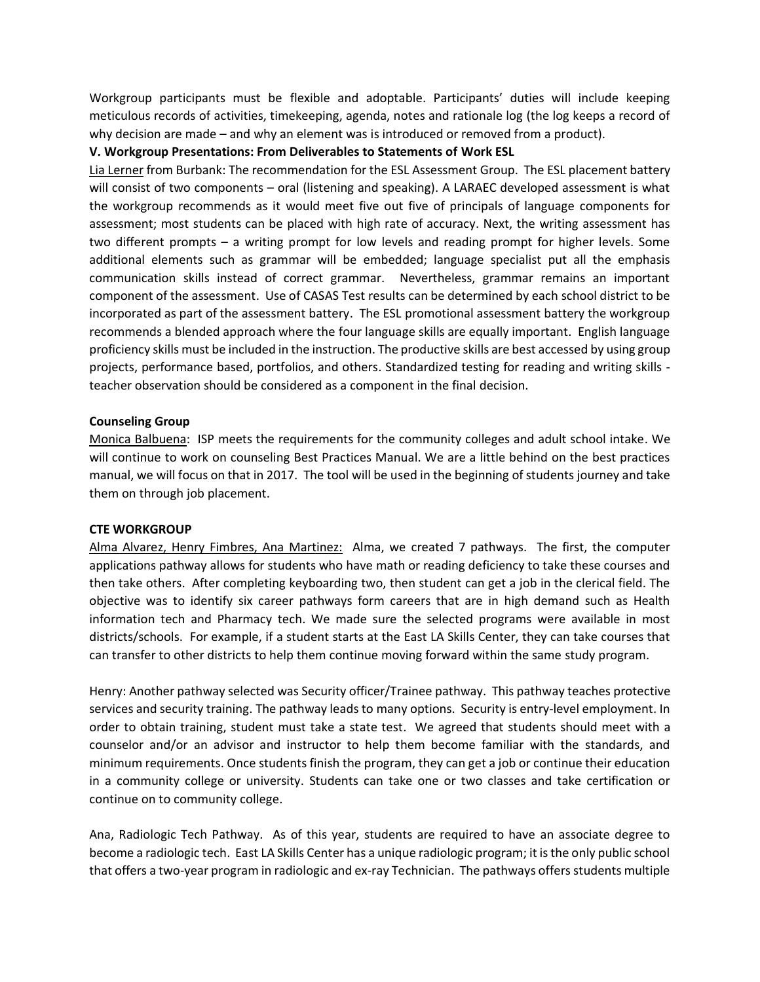Workgroup participants must be flexible and adoptable. Participants' duties will include keeping meticulous records of activities, timekeeping, agenda, notes and rationale log (the log keeps a record of why decision are made – and why an element was is introduced or removed from a product).

### **V. Workgroup Presentations: From Deliverables to Statements of Work ESL**

Lia Lerner from Burbank: The recommendation for the ESL Assessment Group. The ESL placement battery will consist of two components – oral (listening and speaking). A LARAEC developed assessment is what the workgroup recommends as it would meet five out five of principals of language components for assessment; most students can be placed with high rate of accuracy. Next, the writing assessment has two different prompts – a writing prompt for low levels and reading prompt for higher levels. Some additional elements such as grammar will be embedded; language specialist put all the emphasis communication skills instead of correct grammar. Nevertheless, grammar remains an important component of the assessment. Use of CASAS Test results can be determined by each school district to be incorporated as part of the assessment battery. The ESL promotional assessment battery the workgroup recommends a blended approach where the four language skills are equally important. English language proficiency skills must be included in the instruction. The productive skills are best accessed by using group projects, performance based, portfolios, and others. Standardized testing for reading and writing skills teacher observation should be considered as a component in the final decision.

### **Counseling Group**

Monica Balbuena: ISP meets the requirements for the community colleges and adult school intake. We will continue to work on counseling Best Practices Manual. We are a little behind on the best practices manual, we will focus on that in 2017. The tool will be used in the beginning ofstudents journey and take them on through job placement.

#### **CTE WORKGROUP**

Alma Alvarez, Henry Fimbres, Ana Martinez: Alma, we created 7 pathways. The first, the computer applications pathway allows for students who have math or reading deficiency to take these courses and then take others. After completing keyboarding two, then student can get a job in the clerical field. The objective was to identify six career pathways form careers that are in high demand such as Health information tech and Pharmacy tech. We made sure the selected programs were available in most districts/schools. For example, if a student starts at the East LA Skills Center, they can take courses that can transfer to other districts to help them continue moving forward within the same study program.

Henry: Another pathway selected was Security officer/Trainee pathway. This pathway teaches protective services and security training. The pathway leads to many options. Security is entry-level employment. In order to obtain training, student must take a state test. We agreed that students should meet with a counselor and/or an advisor and instructor to help them become familiar with the standards, and minimum requirements. Once students finish the program, they can get a job or continue their education in a community college or university. Students can take one or two classes and take certification or continue on to community college.

Ana, Radiologic Tech Pathway. As of this year, students are required to have an associate degree to become a radiologic tech. East LA Skills Center has a unique radiologic program; it is the only public school that offers a two-year program in radiologic and ex-ray Technician. The pathways offers students multiple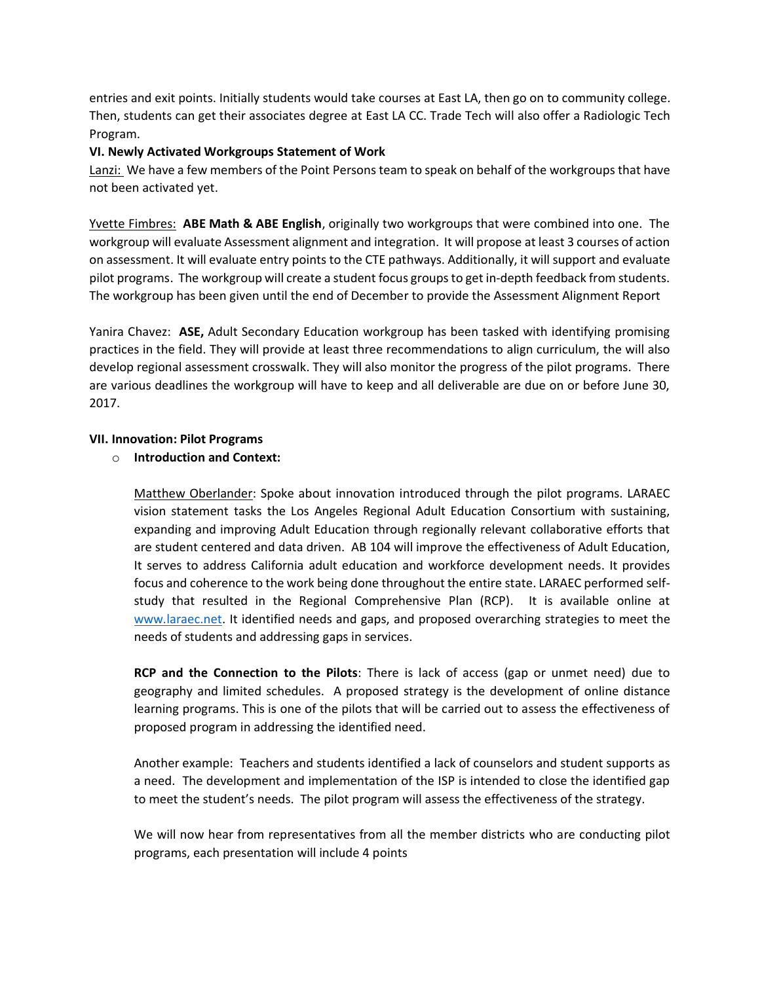entries and exit points. Initially students would take courses at East LA, then go on to community college. Then, students can get their associates degree at East LA CC. Trade Tech will also offer a Radiologic Tech Program.

## **VI. Newly Activated Workgroups Statement of Work**

Lanzi: We have a few members of the Point Persons team to speak on behalf of the workgroups that have not been activated yet.

Yvette Fimbres: **ABE Math & ABE English**, originally two workgroups that were combined into one. The workgroup will evaluate Assessment alignment and integration. It will propose at least 3 courses of action on assessment. It will evaluate entry points to the CTE pathways. Additionally, it will support and evaluate pilot programs. The workgroup will create a student focus groupsto get in-depth feedback from students. The workgroup has been given until the end of December to provide the Assessment Alignment Report

Yanira Chavez: **ASE,** Adult Secondary Education workgroup has been tasked with identifying promising practices in the field. They will provide at least three recommendations to align curriculum, the will also develop regional assessment crosswalk. They will also monitor the progress of the pilot programs. There are various deadlines the workgroup will have to keep and all deliverable are due on or before June 30, 2017.

## **VII. Innovation: Pilot Programs**

# o **Introduction and Context:**

Matthew Oberlander: Spoke about innovation introduced through the pilot programs. LARAEC vision statement tasks the Los Angeles Regional Adult Education Consortium with sustaining, expanding and improving Adult Education through regionally relevant collaborative efforts that are student centered and data driven. AB 104 will improve the effectiveness of Adult Education, It serves to address California adult education and workforce development needs. It provides focus and coherence to the work being done throughout the entire state. LARAEC performed selfstudy that resulted in the Regional Comprehensive Plan (RCP). It is available online at [www.laraec.net.](http://www.laraec.net/) It identified needs and gaps, and proposed overarching strategies to meet the needs of students and addressing gaps in services.

**RCP and the Connection to the Pilots**: There is lack of access (gap or unmet need) due to geography and limited schedules. A proposed strategy is the development of online distance learning programs. This is one of the pilots that will be carried out to assess the effectiveness of proposed program in addressing the identified need.

Another example: Teachers and students identified a lack of counselors and student supports as a need. The development and implementation of the ISP is intended to close the identified gap to meet the student's needs. The pilot program will assess the effectiveness of the strategy.

We will now hear from representatives from all the member districts who are conducting pilot programs, each presentation will include 4 points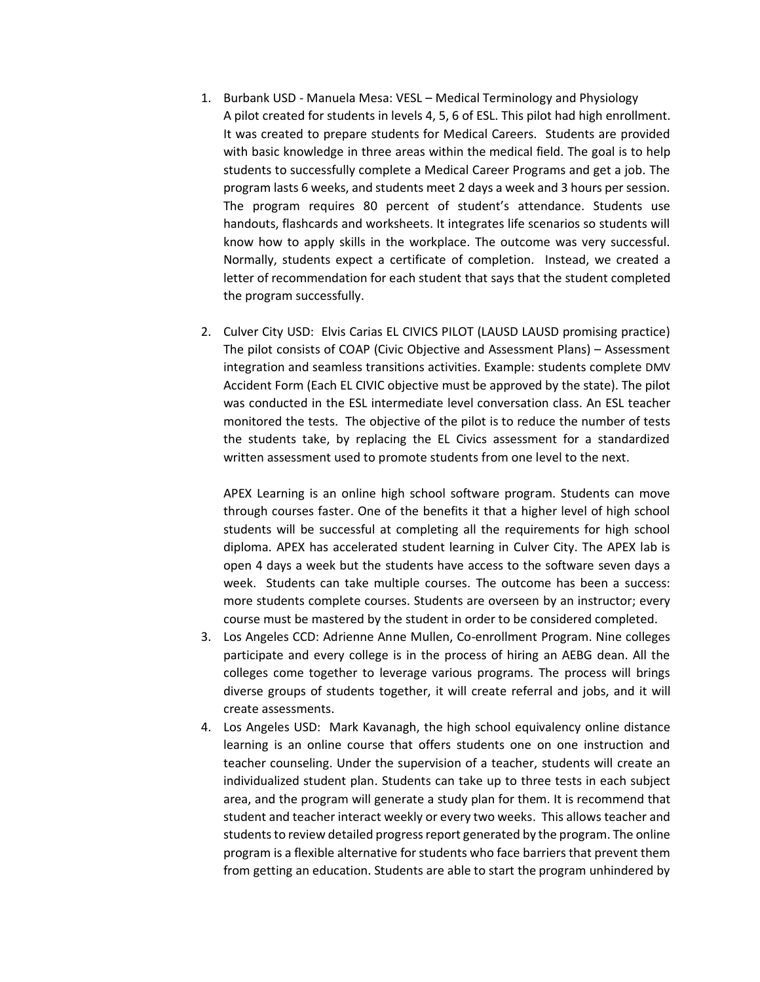- 1. Burbank USD Manuela Mesa: VESL Medical Terminology and Physiology A pilot created for students in levels 4, 5, 6 of ESL. This pilot had high enrollment. It was created to prepare students for Medical Careers. Students are provided with basic knowledge in three areas within the medical field. The goal is to help students to successfully complete a Medical Career Programs and get a job. The program lasts 6 weeks, and students meet 2 days a week and 3 hours per session. The program requires 80 percent of student's attendance. Students use handouts, flashcards and worksheets. It integrates life scenarios so students will know how to apply skills in the workplace. The outcome was very successful. Normally, students expect a certificate of completion. Instead, we created a letter of recommendation for each student that says that the student completed the program successfully.
- 2. Culver City USD: Elvis Carias EL CIVICS PILOT (LAUSD LAUSD promising practice) The pilot consists of COAP (Civic Objective and Assessment Plans) – Assessment integration and seamless transitions activities. Example: students complete DMV Accident Form (Each EL CIVIC objective must be approved by the state). The pilot was conducted in the ESL intermediate level conversation class. An ESL teacher monitored the tests. The objective of the pilot is to reduce the number of tests the students take, by replacing the EL Civics assessment for a standardized written assessment used to promote students from one level to the next.

APEX Learning is an online high school software program. Students can move through courses faster. One of the benefits it that a higher level of high school students will be successful at completing all the requirements for high school diploma. APEX has accelerated student learning in Culver City. The APEX lab is open 4 days a week but the students have access to the software seven days a week. Students can take multiple courses. The outcome has been a success: more students complete courses. Students are overseen by an instructor; every course must be mastered by the student in order to be considered completed.

- 3. Los Angeles CCD: Adrienne Anne Mullen, Co-enrollment Program. Nine colleges participate and every college is in the process of hiring an AEBG dean. All the colleges come together to leverage various programs. The process will brings diverse groups of students together, it will create referral and jobs, and it will create assessments.
- 4. Los Angeles USD: Mark Kavanagh, the high school equivalency online distance learning is an online course that offers students one on one instruction and teacher counseling. Under the supervision of a teacher, students will create an individualized student plan. Students can take up to three tests in each subject area, and the program will generate a study plan for them. It is recommend that student and teacher interact weekly or every two weeks. This allows teacher and students to review detailed progress report generated by the program. The online program is a flexible alternative for students who face barriers that prevent them from getting an education. Students are able to start the program unhindered by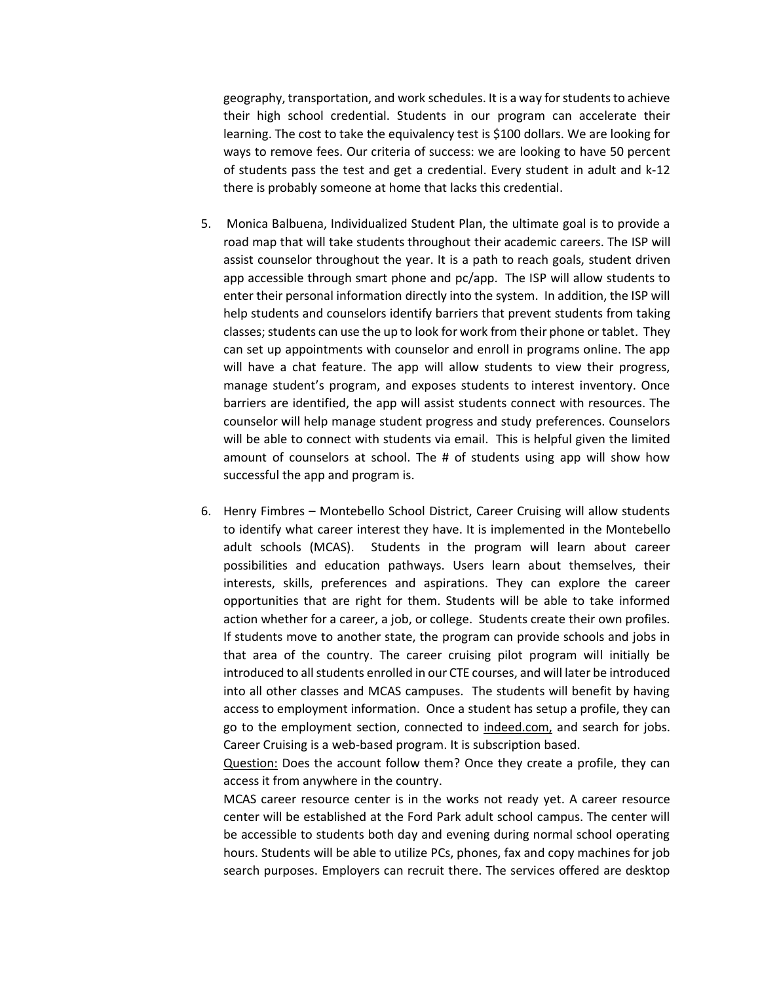geography, transportation, and work schedules. It is a way for students to achieve their high school credential. Students in our program can accelerate their learning. The cost to take the equivalency test is \$100 dollars. We are looking for ways to remove fees. Our criteria of success: we are looking to have 50 percent of students pass the test and get a credential. Every student in adult and k-12 there is probably someone at home that lacks this credential.

- 5. Monica Balbuena, Individualized Student Plan, the ultimate goal is to provide a road map that will take students throughout their academic careers. The ISP will assist counselor throughout the year. It is a path to reach goals, student driven app accessible through smart phone and pc/app. The ISP will allow students to enter their personal information directly into the system. In addition, the ISP will help students and counselors identify barriers that prevent students from taking classes; students can use the up to look for work from their phone or tablet. They can set up appointments with counselor and enroll in programs online. The app will have a chat feature. The app will allow students to view their progress, manage student's program, and exposes students to interest inventory. Once barriers are identified, the app will assist students connect with resources. The counselor will help manage student progress and study preferences. Counselors will be able to connect with students via email. This is helpful given the limited amount of counselors at school. The # of students using app will show how successful the app and program is.
- 6. Henry Fimbres Montebello School District, Career Cruising will allow students to identify what career interest they have. It is implemented in the Montebello adult schools (MCAS). Students in the program will learn about career possibilities and education pathways. Users learn about themselves, their interests, skills, preferences and aspirations. They can explore the career opportunities that are right for them. Students will be able to take informed action whether for a career, a job, or college. Students create their own profiles. If students move to another state, the program can provide schools and jobs in that area of the country. The career cruising pilot program will initially be introduced to all students enrolled in our CTE courses, and will later be introduced into all other classes and MCAS campuses. The students will benefit by having access to employment information. Once a student has setup a profile, they can go to the employment section, connected to indeed.com, and search for jobs. Career Cruising is a web-based program. It is subscription based.

Question: Does the account follow them? Once they create a profile, they can access it from anywhere in the country.

MCAS career resource center is in the works not ready yet. A career resource center will be established at the Ford Park adult school campus. The center will be accessible to students both day and evening during normal school operating hours. Students will be able to utilize PCs, phones, fax and copy machines for job search purposes. Employers can recruit there. The services offered are desktop